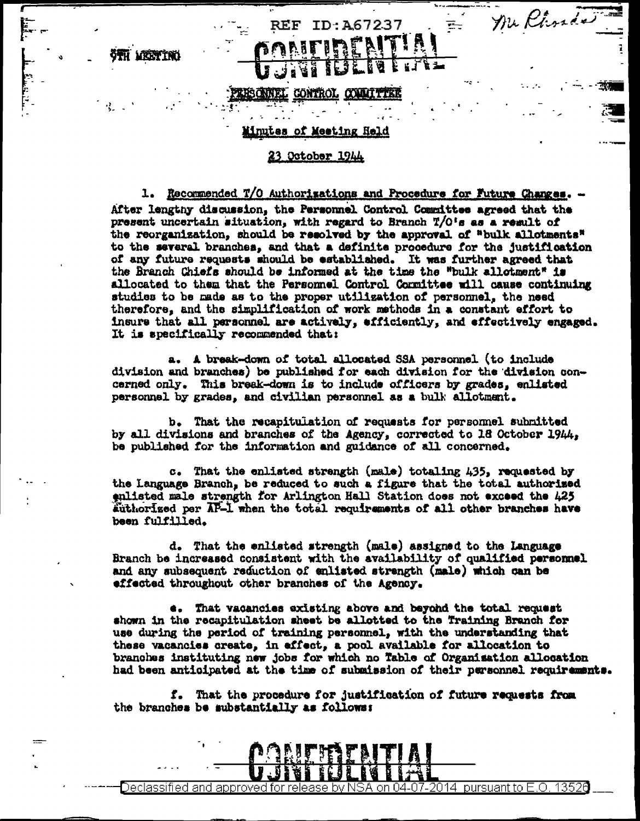otti vrettini

## **EONNEL CONTROL**

## iinutes of Meeting Held

## 23 October 1944

1. Recommended T/O Authorizations and Procedure for Future Changes. After lengthy discussion, the Personnel Control Committee agreed that the present uncertain situation, with regard to Branch T/O's as a regult of the reorganization, should be resolved by the approval of "bulk allotments" to the several branches, and that a definite procedure for the justification of any future requests should be established. It was further agreed that the Branch Chiefs should be informed at the time the "bulk allotment" is allocated to them that the Personnel Control Committee will cause continuing studies to be made as to the proper utilization of personnel, the need therefore, and the simplification of work methods in a constant effort to insure that all personnel are actively, efficiently, and effectively engaged. It is specifically recommended that:

ID: A67237

Mu Phrade

÷

a. A break-down of total allocated SSA personnel (to include division and branches) be published for each division for the division concerned only. This break-down is to include officers by grades, enlisted personnel by grades, and civilian personnel as a bulk allotment.

b. That the recapitulation of requests for personnel submitted by all divisions and branches of the Agency, corrected to 18 October 1944, be published for the information and guidance of all concerned.

c. That the enlisted strength (male) totaling 435, requested by the Language Branch, be reduced to such a figure that the total authorized enlisted male strength for Arlington Hall Station does not exceed the 425 Authorized per AP-1 when the total requirements of all other branches have been fulfilled.

d. That the enlisted strength (male) assigned to the Language Branch be increased consistent with the availability of qualified personnel and any subsequent reduction of enlisted strength (male) which can be effected throughout other branches of the Agency.

e. That vacancies existing above and beyond the total request shown in the recapitulation sheet be allotted to the Training Branch for use during the period of training personnel, with the understanding that these vacancies create, in affect, a pool available for allocation to branches instituting new jobs for which no Table of Organisation allocation had been anticipated at the time of submission of their personnel requirements.

f. That the procedure for justification of future requests from the branches be substantially as follows:

## 13526 2014 pursuant to E.O.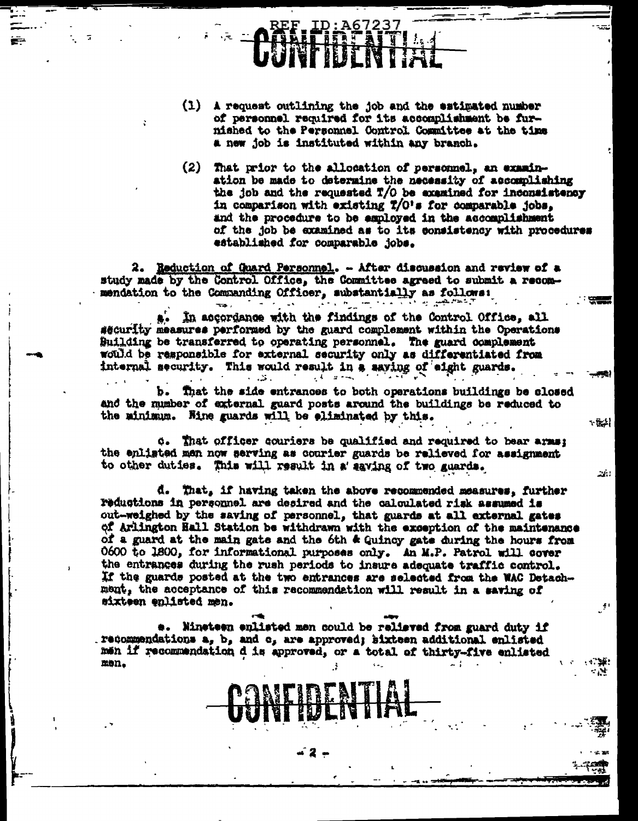- (1) A request outlining the job and the estimated number of personnel required for its accomplishment be furnished to the Personnel Control Committee at the time a new job is instituted within any branch.
- $(2)$ That prior to the allocation of personnel, an examination be made to determine the necessity of accomplishing the job and the requested T/O be examined for inconsistency in comparison with existing T/O's for comparable jobs. and the procedure to be esployed in the accomplishment of the job be examined as to its consistency with procedures established for comparable jobs.

\* 많사

 $\Delta t$ 

2. Reduction of Guard Personnel. - After discussion and review of a study made by the Control Office, the Committee agreed to submit a recommendation to the Commanding Officer, substantially as follows: الرفاهام هيس وبالاقترار المرتزم إستا

In accordance with the findings of the Control Office, all security measures performed by the guard complement within the Operations Building be transferred to operating personnel. The guard complement would be responsible for external security only as differentiated from internal security. This would result in a saving of eight guards. ٠. ت  $1 - k = 2 + \infty$ 

That the side entrances to both operations buildings be closed and the number of external guard posts around the buildings be reduced to the minimum. Hine guards will be eliminated by this.

 $\phi$ . That officer couriers be qualified and required to bear arms; the enlisted men now serving as courier guards be relieved for assignment to other duties. This will result in a saving of two guards.

d. That, if having taken the above recommended measures, further reductions in personnel are desired and the calculated risk assumed is out-weighed by the saving of personnel, that guards at all external gates of Arlington Hall Station be withdrawn with the exception of the maintenance of a guard at the main gate and the 6th & Quincy gate during the hours from 0600 to 1800, for informational purposes only. An M.P. Patrol will cover the entrances during the rush periods to insure adequate traffic control. If the guards posted at the two entrances are selected from the WAC Detachment, the acceptance of this recommendation will result in a saving of mixteen enlisted men.

e. Nineteen enlisted men could be relieved from guard duty if recommendations a, b, and c, are approved; sixteen additional enlisted men if recommendation d is approved, or a total of thirty-five enlisted men.